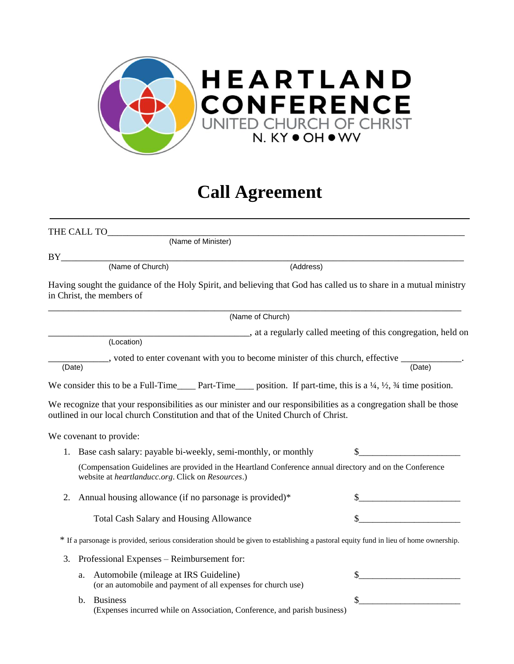

## **Call Agreement**

|                                                                                                                 | THE CALL TO                                                                                                                                                                                             |                  |                                                             |
|-----------------------------------------------------------------------------------------------------------------|---------------------------------------------------------------------------------------------------------------------------------------------------------------------------------------------------------|------------------|-------------------------------------------------------------|
|                                                                                                                 | (Name of Minister)                                                                                                                                                                                      |                  |                                                             |
| BY FOUND THE STATE OF THE STATE OF THE STATE OF THE STATE OF THE STATE OF THE STATE OF THE STATE OF THE STATE O | (Name of Church)                                                                                                                                                                                        | (Address)        |                                                             |
|                                                                                                                 | Having sought the guidance of the Holy Spirit, and believing that God has called us to share in a mutual ministry<br>in Christ, the members of                                                          |                  |                                                             |
|                                                                                                                 |                                                                                                                                                                                                         | (Name of Church) |                                                             |
|                                                                                                                 | (Location)                                                                                                                                                                                              |                  | at a regularly called meeting of this congregation, held on |
| (Date)                                                                                                          | , voted to enter covenant with you to become minister of this church, effective ______________________________                                                                                          |                  | (Date)                                                      |
|                                                                                                                 | We consider this to be a Full-Time_____ Part-Time_____ position. If part-time, this is a $\frac{1}{4}$ , $\frac{1}{2}$ , $\frac{3}{4}$ time position.                                                   |                  |                                                             |
|                                                                                                                 | We recognize that your responsibilities as our minister and our responsibilities as a congregation shall be those<br>outlined in our local church Constitution and that of the United Church of Christ. |                  |                                                             |
|                                                                                                                 | We covenant to provide:                                                                                                                                                                                 |                  |                                                             |
|                                                                                                                 | 1. Base cash salary: payable bi-weekly, semi-monthly, or monthly                                                                                                                                        |                  | \$                                                          |
|                                                                                                                 | (Compensation Guidelines are provided in the Heartland Conference annual directory and on the Conference<br>website at heartlanducc.org. Click on Resources.)                                           |                  |                                                             |
| 2.                                                                                                              | Annual housing allowance (if no parsonage is provided)*                                                                                                                                                 |                  |                                                             |
|                                                                                                                 | <b>Total Cash Salary and Housing Allowance</b>                                                                                                                                                          |                  |                                                             |
|                                                                                                                 | * If a parsonage is provided, serious consideration should be given to establishing a pastoral equity fund in lieu of home ownership.                                                                   |                  |                                                             |
| 3.                                                                                                              | Professional Expenses – Reimbursement for:                                                                                                                                                              |                  |                                                             |
|                                                                                                                 | Automobile (mileage at IRS Guideline)<br>a.<br>(or an automobile and payment of all expenses for church use)                                                                                            |                  |                                                             |
|                                                                                                                 | <b>Business</b><br>$\mathbf{b}$ .<br>(Expenses incurred while on Association, Conference, and parish business)                                                                                          |                  |                                                             |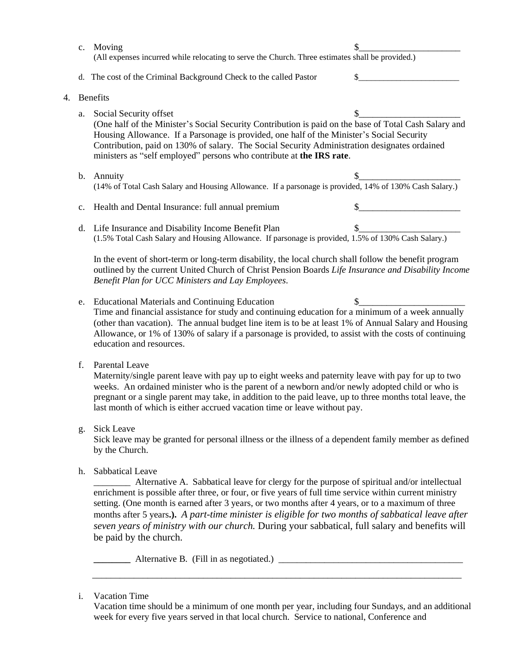|    | $c_{\cdot}$ | Moving<br>(All expenses incurred while relocating to serve the Church. Three estimates shall be provided.)                                                                                                                                                                                                                                                                                              |  |  |  |
|----|-------------|---------------------------------------------------------------------------------------------------------------------------------------------------------------------------------------------------------------------------------------------------------------------------------------------------------------------------------------------------------------------------------------------------------|--|--|--|
|    |             | d. The cost of the Criminal Background Check to the called Pastor                                                                                                                                                                                                                                                                                                                                       |  |  |  |
| 4. |             | <b>Benefits</b>                                                                                                                                                                                                                                                                                                                                                                                         |  |  |  |
|    | a.          | Social Security offset<br>(One half of the Minister's Social Security Contribution is paid on the base of Total Cash Salary and<br>Housing Allowance. If a Parsonage is provided, one half of the Minister's Social Security<br>Contribution, paid on 130% of salary. The Social Security Administration designates ordained<br>ministers as "self employed" persons who contribute at the IRS rate.    |  |  |  |
|    | $b_{\cdot}$ | Annuity<br>(14% of Total Cash Salary and Housing Allowance. If a parsonage is provided, 14% of 130% Cash Salary.)                                                                                                                                                                                                                                                                                       |  |  |  |
|    | c.          | Health and Dental Insurance: full annual premium                                                                                                                                                                                                                                                                                                                                                        |  |  |  |
|    | d.          | Life Insurance and Disability Income Benefit Plan<br>(1.5% Total Cash Salary and Housing Allowance. If parsonage is provided, 1.5% of 130% Cash Salary.)                                                                                                                                                                                                                                                |  |  |  |
|    |             | In the event of short-term or long-term disability, the local church shall follow the benefit program<br>outlined by the current United Church of Christ Pension Boards Life Insurance and Disability Income<br>Benefit Plan for UCC Ministers and Lay Employees.                                                                                                                                       |  |  |  |
|    | e.          | <b>Educational Materials and Continuing Education</b><br>Time and financial assistance for study and continuing education for a minimum of a week annually<br>(other than vacation). The annual budget line item is to be at least 1% of Annual Salary and Housing<br>Allowance, or 1% of 130% of salary if a parsonage is provided, to assist with the costs of continuing<br>education and resources. |  |  |  |
|    | f.          | <b>Parental Leave</b><br>Maternity/single parent leave with pay up to eight weeks and paternity leave with pay for up to two                                                                                                                                                                                                                                                                            |  |  |  |

Maternity/single parent leave with pay up to eight weeks and paternity leave with pay for up to two weeks. An ordained minister who is the parent of a newborn and/or newly adopted child or who is pregnant or a single parent may take, in addition to the paid leave, up to three months total leave, the last month of which is either accrued vacation time or leave without pay.

g. Sick Leave

Sick leave may be granted for personal illness or the illness of a dependent family member as defined by the Church.

h. Sabbatical Leave

\_\_\_\_\_\_\_\_ Alternative A. Sabbatical leave for clergy for the purpose of spiritual and/or intellectual enrichment is possible after three, or four, or five years of full time service within current ministry setting. (One month is earned after 3 years, or two months after 4 years, or to a maximum of three months after 5 years**.).** *A part-time minister is eligible for two months of sabbatical leave after seven years of ministry with our church.* During your sabbatical, full salary and benefits will be paid by the church.

Alternative B. (Fill in as negotiated.)

i. Vacation Time

Vacation time should be a minimum of one month per year, including four Sundays, and an additional week for every five years served in that local church. Service to national, Conference and

\_\_\_\_\_\_\_\_\_\_\_\_\_\_\_\_\_\_\_\_\_\_\_\_\_\_\_\_\_\_\_\_\_\_\_\_\_\_\_\_\_\_\_\_\_\_\_\_\_\_\_\_\_\_\_\_\_\_\_\_\_\_\_\_\_\_\_\_\_\_\_\_\_\_\_\_\_\_\_\_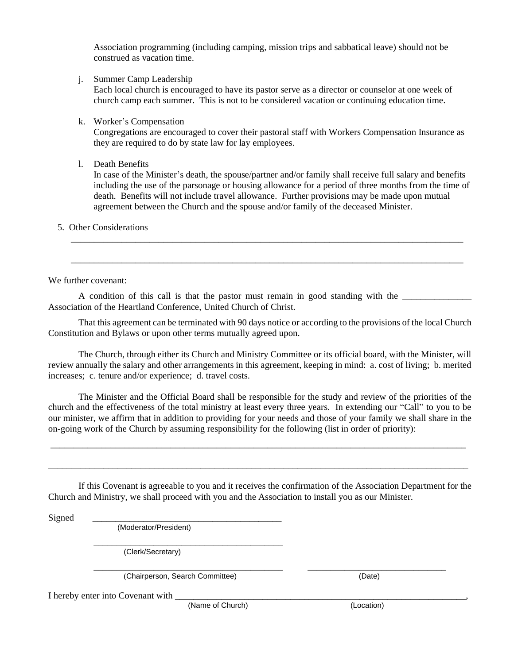Association programming (including camping, mission trips and sabbatical leave) should not be construed as vacation time.

j. Summer Camp Leadership

Each local church is encouraged to have its pastor serve as a director or counselor at one week of church camp each summer. This is not to be considered vacation or continuing education time.

k. Worker's Compensation

Congregations are encouraged to cover their pastoral staff with Workers Compensation Insurance as they are required to do by state law for lay employees.

l. Death Benefits

In case of the Minister's death, the spouse/partner and/or family shall receive full salary and benefits including the use of the parsonage or housing allowance for a period of three months from the time of death. Benefits will not include travel allowance. Further provisions may be made upon mutual agreement between the Church and the spouse and/or family of the deceased Minister.

5. Other Considerations

We further covenant:

A condition of this call is that the pastor must remain in good standing with the Association of the Heartland Conference, United Church of Christ.

\_\_\_\_\_\_\_\_\_\_\_\_\_\_\_\_\_\_\_\_\_\_\_\_\_\_\_\_\_\_\_\_\_\_\_\_\_\_\_\_\_\_\_\_\_\_\_\_\_\_\_\_\_\_\_\_\_\_\_\_\_\_\_\_\_\_\_\_\_\_\_\_\_\_\_\_\_\_\_\_\_\_\_\_\_

\_\_\_\_\_\_\_\_\_\_\_\_\_\_\_\_\_\_\_\_\_\_\_\_\_\_\_\_\_\_\_\_\_\_\_\_\_\_\_\_\_\_\_\_\_\_\_\_\_\_\_\_\_\_\_\_\_\_\_\_\_\_\_\_\_\_\_\_\_\_\_\_\_\_\_\_\_\_\_\_\_\_\_\_\_

That this agreement can be terminated with 90 days notice or according to the provisions of the local Church Constitution and Bylaws or upon other terms mutually agreed upon.

The Church, through either its Church and Ministry Committee or its official board, with the Minister, will review annually the salary and other arrangements in this agreement, keeping in mind: a. cost of living; b. merited increases; c. tenure and/or experience; d. travel costs.

The Minister and the Official Board shall be responsible for the study and review of the priorities of the church and the effectiveness of the total ministry at least every three years. In extending our "Call" to you to be our minister, we affirm that in addition to providing for your needs and those of your family we shall share in the on-going work of the Church by assuming responsibility for the following (list in order of priority):

\_\_\_\_\_\_\_\_\_\_\_\_\_\_\_\_\_\_\_\_\_\_\_\_\_\_\_\_\_\_\_\_\_\_\_\_\_\_\_\_\_\_\_\_\_\_\_\_\_\_\_\_\_\_\_\_\_\_\_\_\_\_\_\_\_\_\_\_\_\_\_\_\_\_\_\_\_\_\_\_\_\_\_\_\_\_\_\_\_\_

\_\_\_\_\_\_\_\_\_\_\_\_\_\_\_\_\_\_\_\_\_\_\_\_\_\_\_\_\_\_\_\_\_\_\_\_\_\_\_\_\_\_\_\_\_\_\_\_\_\_\_\_\_\_\_\_\_\_\_\_\_\_\_\_\_\_\_\_\_\_\_\_\_\_\_\_\_\_\_\_\_\_\_\_\_\_\_\_\_\_\_

If this Covenant is agreeable to you and it receives the confirmation of the Association Department for the Church and Ministry, we shall proceed with you and the Association to install you as our Minister.

Signed

(Moderator/President)

\_\_\_\_\_\_\_\_\_\_\_\_\_\_\_\_\_\_\_\_\_\_\_\_\_\_\_\_\_\_\_\_\_\_\_\_\_\_\_\_\_ (Clerk/Secretary)

\_\_\_\_\_\_\_\_\_\_\_\_\_\_\_\_\_\_\_\_\_\_\_\_\_\_\_\_\_\_\_\_\_\_\_\_\_\_\_\_\_ \_\_\_\_\_\_\_\_\_\_\_\_\_\_\_\_\_\_\_\_\_\_\_\_\_\_\_\_\_\_ (Chairperson, Search Committee) (Date)

I hereby enter into Covenant with